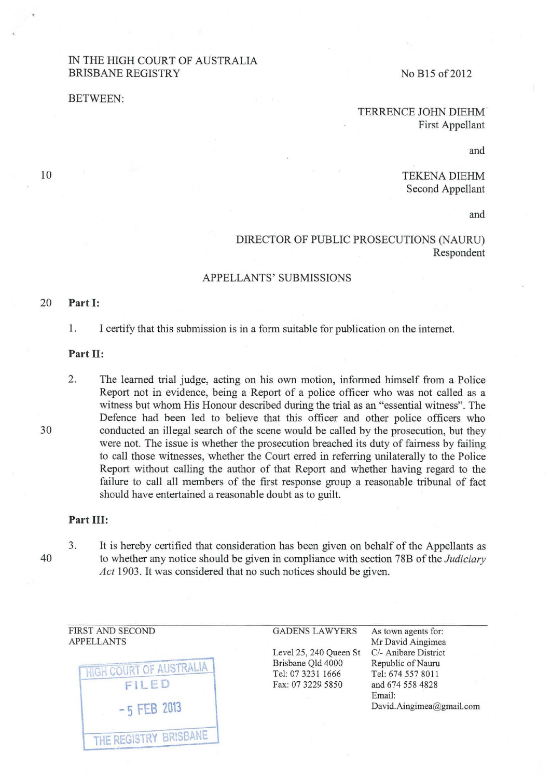# IN THE HIGH COURT OF AUSTRALIA BRISBANE REGISTRY

BETWEEN:

### No B15 of 2012

TERRENCE JOHN DIEHM First Appellant

and

TEKENA DIEHM Second Appellant

and

# DIRECTOR OF PUBLIC PROSECUTIONS (NAURU) Respondent

#### APPELLANTS' SUBMISSIONS

#### 20 **Part 1:**

1. I certify that this submission is in a form suitable for publication on the internet.

#### **Part II:**

2. The learned trial judge, acting on his own motion, informed himself from a Police Report not in evidence, being a Report of a police officer who was not called as a witness but whom His Honour described during the trial as an "essential witness". The Defence had been led to believe that this officer and other police officers who conducted an illegal search of the scene would be called by the prosecution, but they were not. The issue is whether the prosecution breached its duty of fairness by failing to call those witnesses, whether the Court erred in referring unilaterally to the Police Report without calling the author of that Report and whether having regard to the failure to call all members of the first response group a reasonable tribunal of fact should have entertained a reasonable doubt as to guilt.

### **Part III:**

3. It is hereby certified that consideration has been given on behalf of the Appellants as to whether any notice should be given in compliance with section 78B of the *Judiciary Act* 1903. It was considered that no such notices should be given.

FIRST AND SECOND APPELLANTS



Level25, 240 Queen St Brisbane Qld 4000 Tel: 07 3231 1666 Fax: 07 3229. 5850

GADENS LAWYERS As town agents for: Mr David Aingimea C/- Anibare District Republic of Nauru Tel: 674 557 8011 and 674 558 4828 Email: David.Aingimea@gmail.com

30

40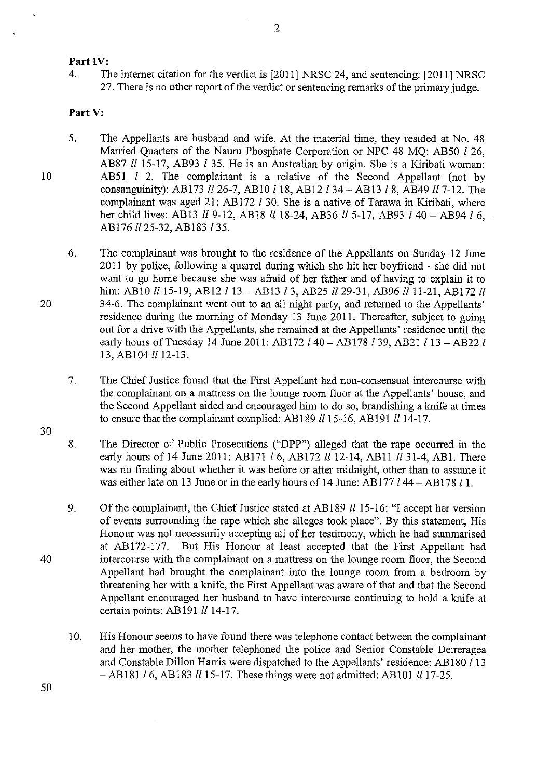# Part IV:

4. The internet citation for the verdict is [2011] NRSC 24, and sentencing: [2011] NRSC 27. There is no other report of the verdict or sentencing remarks of the primary judge.

# Part V:

- 5. The Appellants are husband and wife. At the material time, they resided at No. 48 Married Quarters of the Nauru Phosphate Corporation or NPC 48 MO: AB50 *l* 26, AB87 *ll* 15-17, AB93 *l* 35. He is an Australian by origin. She is a Kiribati woman: AB51 I 2. The complainant is a relative of the Second Appellant (not by consanguinity): AB173 *ll* 26-7, AB10 *l* 18, AB12 *l* 34 – AB13 *l* 8, AB49 *ll* 7-12. The complainant was aged 21: AB172 *I* 30. She is a native of Tarawa in Kiribati, where her child lives: AB13 *ll* 9-12, AB18 *ll* 18-24, AB36 *ll* 5-17, AB93 *l* 40 - AB94 *l* 6, AB176 *II* 25-32, AB183 *1* 35.
- 6. The complainant was brought to the residence of the Appellants on Sunday 12 June 20 II by police, following a quarrel during which she hit her boyfriend - she did not want to go home because she was afraid of her father and of having to explain it to him: AB10 *ll* 15-19, AB12 *l* 13 - AB13 *l* 3, AB25 *ll* 29-31, AB96 *ll* 11-21, AB172 *ll* 34-6. The complainant went out to an all-night party, and returned to the Appellants' residence during the morning of Monday 13 June 2011. Thereafter, subject to going out for a drive with the Appellants, she remained at the Appellants' residence until the early hours of Tuesday 14 June 2011: AB172  $l$  40 - AB178  $l$  39, AB21  $l$  13 - AB22  $l$ 13, AB104 *ll* 12-13.
- 7. The Chief Justice found that the First Appellant had non-consensual intercourse with the complainant on a mattress on the lounge room floor at the Appellants' house, and the Second Appellant aided and encouraged him to do so, brandishing a knife at times to ensure that the complainant complied: AB189 *ll* 15-16, AB191 *ll* 14-17.
- 30

10

20

- 8. The Director of Public Prosecutions ("DPP") alleged that the rape occurred in the early hours of 14 June 2011: AB171 *l* 6, AB172 *ll* 12-14, AB11 *ll* 31-4, AB1. There was no finding about whether it was before or after midnight, other than to assume it was either late on 13 June or in the early hours of 14 June: AB177  $l$  44 - AB178  $l$  1.
- 9. Of the complainant, the Chief Justice stated at AB 189 *ll* 15-16: "I accept her version of events surrounding the rape which she alleges took place". By this statement, His Honour was not necessarily accepting all of her testimony, which he had summarised at AB172-177. But His Honour at least accepted that the First Appellant had intercourse with the complainant on a mattress on the lounge room floor, the Second Appellant had brought the complainant into the lounge room from a bedroom by threatening her with a knife, the First Appellant was aware of that and that the Second Appellant encouraged her husband to have intercourse continuing to hold a knife at certain points: AB191  $ll$  14-17.
- 10. His Honour seems to have found there was telephone contact between the complainant and her mother, the mother telephoned the police and Senior Constable Deireragea and Constable Dillon Harris were dispatched to the Appellants' residence: AB180  $\ell$  13 - AB181 *l* 6, AB183 *ll* 15-17. These things were not admitted: AB101 *ll* 17-25.

40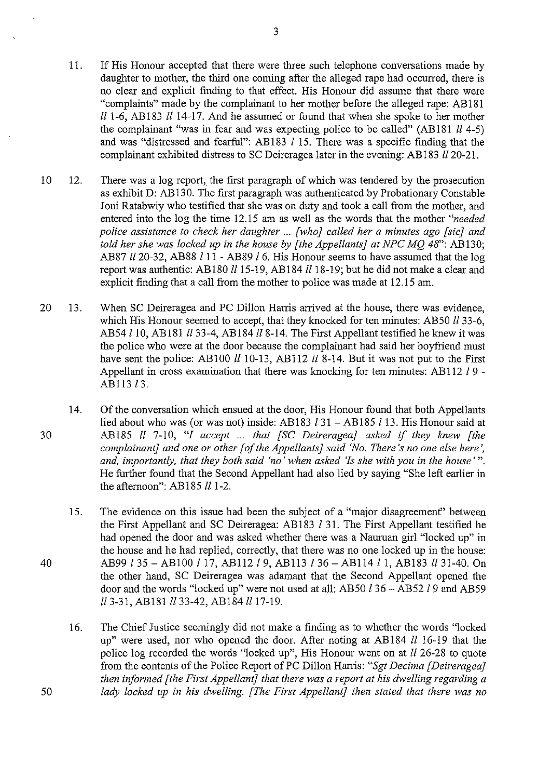- and was "distressed and fearful": AB183  $l$  15. There was a specific finding that the complainant exhibited distress to SC Deireragea later in the evening: AB183 *ll* 20-21. 10 12. There was a log report, the first paragraph of which was tendered by the prosecution
	- as exhibit D: AB130. The first paragraph was authenticated by Probationary Constable Joni Ratabwiy who testified that she was on duty and took a call from the mother, and entered into the log the time 12.15 am as well as the words that the mother *"needed police assistance to check her daughter ... [who} called her a minutes ago [sic} and told her she was locked up in the house by [the Appellants] at NPC MO 48": AB130;* AB87 ll20-32, AB88 Ill - AB89 *!6.* His Honour seems to have assumed that the log report was authentic: AB180  $ll$  15-19, AB184  $ll$  18-19; but he did not make a clear and explicit finding that a call from the mother to police was made at 12.15 am.
- 20 13. When SC Deireragea and PC Dillon Harris arrived at the house, there was evidence, which His Honour seemed to accept, that they knocked for ten minutes: AB50 *ll* 33-6, AB54 l 10, AB181 ll 33-4, AB184 ll 8-14. The First Appellant testified he knew it was the police who were at the door because the complainant had said her boyfiiend must have sent the police: AB100  $ll$  10-13, AB112  $ll$  8-14. But it was not put to the First Appellant in cross examination that there was knocking for ten minutes: AB112 *!9-* AB113 *l* 3.
- 14. Of the conversation which ensued at the door, His Honour found that both Appellants lied about who was (or was not) inside: AB183  $131 - AB185$  113. His Honour said at 30 AB185 *ll* 7-10, "! *accept* ... *that [SC Deirerageaj asked if they knew [the complainant} and one or other [of the Appellants} said 'No. There's no one else here', and, importantly, that they both said 'no' when asked 'Is she with you in the house'".*  He further found that the Second Appellant had also lied by saying "She left earlier in the afternoon": AB185  $ll$  1-2.
- 15. The evidence on this issue had been the subject of a "major disagreement" between the First Appellant and SC Deireragea: AB183  $l$  31. The First Appellant testified he had opened the door and was asked whether there was a Nauman girl "locked up" in the house and he had replied, correctly, that there was no one locked up in the house: 40 AB99 135- ABlOO 117, AB112l9, AB113 136- AB114ll, AB183 ll31-40. On the other hand, SC Deireragea was adamant that the Second Appellant opened the door and the words "locked up" were not used at all: AB50 l 36 - AB52 l 9 and AB59 ll 3-31, AB181 ll 33-42, AB184 ll 17-19.
- 16. The Chief Justice seemingly did not make a finding as to whether the words "locked up" were used, nor who opened the door. After noting at AB184 ll 16-19 that the police log recorded the words "locked up", His Honour went on at *ll* 26-28 to quote from the contents of the Police Report of PC Dillon Harris: *"Sgt Decima [Deireragea} then informed [the First Appellant} that there was a report at his dwelling regarding a*  50 *lady locked up in his dwelling. [The First Appellant] then stated that there was no*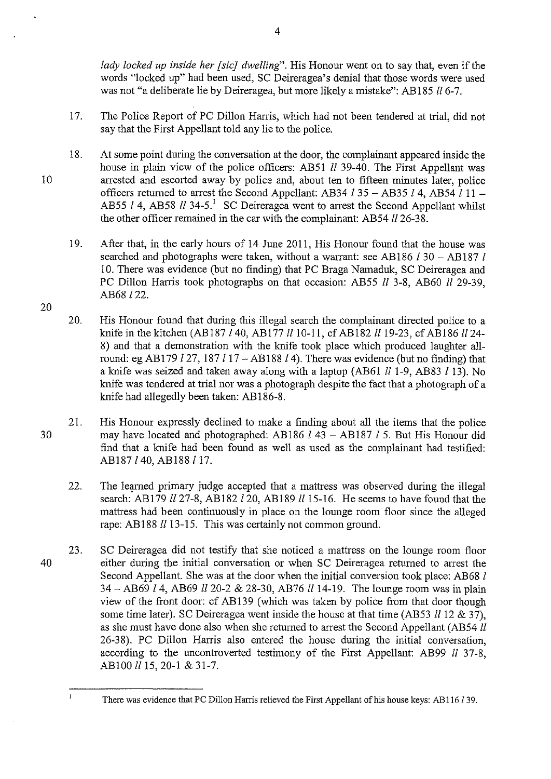*lady locked up inside her [sic} dwelling".* His Honour went on to say that, even if the words "locked up" had been used, SC Deireragea's denial that those words were used was not "a deliberate lie by Deireragea, but more likely a mistake": AB 185 *ll* 6-7.

- 17. The Police Report of PC Dillon Harris, which had not been tendered at trial, did not say that the First Appellant told any lie to the police.
- 18. At some point during the conversation at the door, the complainant appeared inside the house in plain view of the police officers: AB51 *ll* 39-40. The First Appellant was 10 arrested and escorted away by police and, about ten to fifteen minutes later, police officers returned to arrest the Second Appellant: AB34  $l$  35 - AB35  $l$  4, AB54  $l$  11 -AB55 *l* 4, AB58 *ll* 34-5.<sup>1</sup> SC Deireragea went to arrest the Second Appellant whilst the other officer remained in the car with the complainant: AB54  $ll$  26-38.
	- 19. After that, in the early hours of 14 June 2011, His Honour found that the house was searched and photographs were taken, without a warrant: see AB186 *l* 30 – AB187 *l* 10. There was evidence (but no finding) that PC Braga Namaduk, SC Deireragea and PC Dillon Harris took photographs on that occasion: AB55 *ll* 3-8, AB60 *ll* 29-39, AB68122.
	- 20. His Honour found that during this illegal search the complainant directed police to a knife in the kitchen (AB187 *l* 40, AB177 *ll* 10-11, cf AB182 *ll* 19-23, cf AB186 *ll* 24-8) and that a demonstration with the knife took place which produced laughter allround: eg AB 179 *127,* 187 117- AB188 *14).* There was evidence (but no finding) that a knife was seized and taken away along with a laptop (AB61 *lll-9,* AB83 *113).* No knife was tendered at trial nor was a photograph despite the fact that a photograph of a knife had allegedly been taken: AB 186-8.

21. His Honour expressly declined to make a finding about all the items that the police 30 may have located and photographed: AB186 1 43- AB187 1 5. But His Honour did find that a knife had been found as well as used as the complainant had testified: AB187140, AB188117.

- 22. The learned primary judge accepted that a mattress was observed during the illegal search: AB179 *ll* 27-8, AB182 *l* 20, AB189 *ll* 15-16. He seems to have found that the mattress had been continuously in place on the lounge room floor since the alleged rape: AB188 *ll* 13-15. This was certainly not common ground.
- 23. SC Deireragea did not testifY that she noticed a mattress on the lounge room floor 40 either during the initial conversation or when SC Deireragea returned to arrest the Second Appellant. She was at the door when the initial conversion took place: AB68 I 34 - AB69 *l* 4, AB69 *ll* 20-2 & 28-30, AB76 *ll* 14-19. The lounge room was in plain view of the front door: cf AB139 (which was taken by police from that door though some time later). SC Deireragea went inside the house at that time (AB53  $11 12 \& 37$ ), as she must have done also when she returned to arrest the Second Appellant (AB54 ll 26-38). PC Dillon Harris also entered the house during the initial conversation, according to the uncontroverted testimony of the First Appellant: AB99 *ll* 37-8, AB100 *ll* 15, 20-1 & 31-7.

20

 $\mathbf{I}$ 

There was evidence that PC Dillon Harris relieved the First Appellant of his house keys: AB 116 1 39.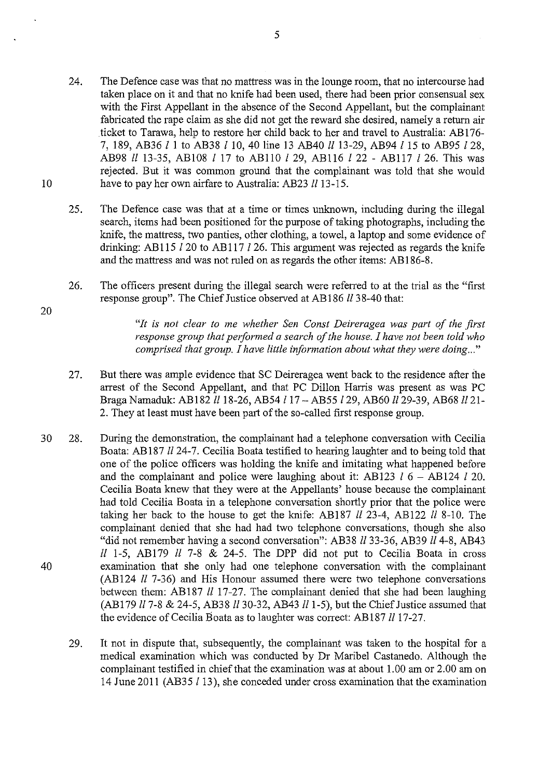- 24. The Defence case was that no mattress was in the lounge room, that no intercourse had taken place on it and that no knife had been used, there had been prior consensual sex with the First Appellant in the absence of the Second Appellant, but the complainant fabricated the rape claim as she did not get the reward she desired, namely a return air .ticket to Tarawa, help to restore her child back to her and travel to Australia: AB 176- 7, 189, AB36 *l* 1 to AB38 110, 40 line 13 AB40 *ll* 13-29, AB94 115 to AB95 *128,*  AB98 *ll* 13-35, AB108 *l* 17 to ABllO *l* 29, AB116 *l* 22- AB117 *l* 26. This was rejected. But it was common ground that the complainant was told that she would 10 have to pay her own airfare to Australia: AB23 *ll* 13-15.
	- 25. The Defence case was that at a time or times unknown, including during the illegal search, items had been positioned for the purpose of taking photographs, including the knife, the mattress, two panties, other clothing, a towel, a laptop and some evidence of drinking: AB115  $l$  20 to AB117  $l$  26. This argument was rejected as regards the knife and the mattress and was not ruled on as regards the other items: AB 186-8.
	- 26. The officers present during the illegal search were referred to at the trial as the "first response group". The Chief Justice observed at AB186 ll 38-40 that:

*"It is not clear to me whether Sen Canst Deireragea was part of the first response group that performed a search of the house. I have not been told who comprised that group. I have little information about what they were doing ... "* 

- 27. But there was ample evidence that SC Deireragea went back to the residence after the arrest of the Second Appellant, and that PC Dillon Harris was present as was PC Braga Namaduk: AB182 *ll* 18-26, AB54 *l* 17 - AB55 *l* 29, AB60 *ll* 29-39, AB68 *ll* 21-2. They at least must have been part of the so-called first response group.
- 30 28. During the demonstration, the complainant had a telephone conversation with Cecilia Boata: AB187 *ll* 24-7. Cecilia Boata testified to hearing laughter and to being told that one of the police officers was holding the knife and imitating what happened before and the complainant and police were laughing about it: AB123  $l$  6 - AB124  $l$  20. Cecilia Boata knew that they were at the Appellants' house because the complainant had told Cecilia Boata in a telephone conversation shortly prior that the police were taking her back to the house to get the knife: AB187 *ll* 23-4, AB122 ll 8-10. The complainant denied that she had had two telephone conversations, though she also "did not remember having a second conversation": AB38 *ll* 33-36, AB39 *ll* 4-8, AB43 *ll* 1-5, AB179 *ll* 7-8 & 24-5. The DPP did not put to Cecilia Boata in cross 40 examination that she only had one telephone conversation with the complainant (AB124 *ll* 7-36) and His Honour assumed there were two telephone conversations between them: AB187  $ll$  17-27. The complainant denied that she had been laughing (AB179 *ll* 7-8 & 24-5, AB38 *ll* 30-32, AB43 *ll* 1-5), but the Chief Justice assumed that the evidence of Cecilia Boata as to laughter was correct: AB187  $ll$  17-27.
	- 29. It not in dispute that, subsequently, the complainant was taken to the hospital for a medical examination which was conducted by Dr Maribel Castanedo. Although the complainant testified in chief that the examination was at about 1.00 am or 2.00 am on 14 June 2011 (AB35 /13), she conceded under cross examination that the examination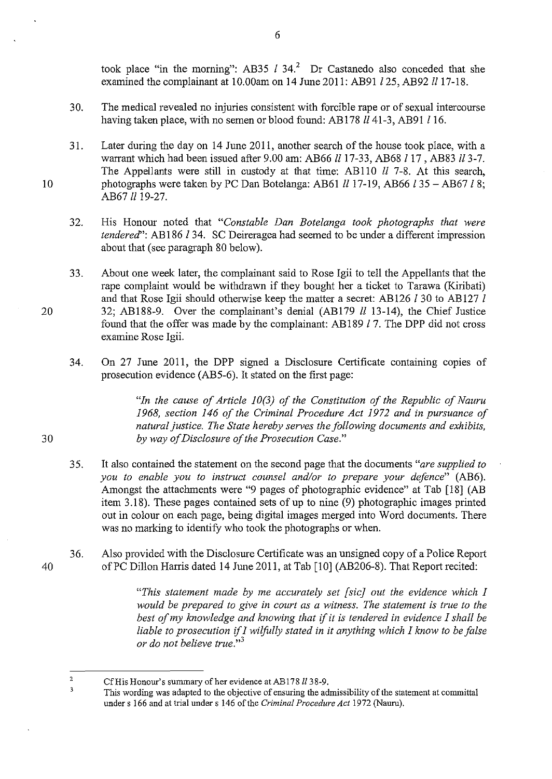took place "in the morning": AB35  $l$  34.<sup>2</sup> Dr Castanedo also conceded that she examined the complainant at 10.00am on 14 June 2011: AB91  $l$  25, AB92  $ll$  17-18.

- 30. The medical revealed no injuries consistent with forcible rape or of sexual intercourse having taken place, with no semen or blood found: AB178  $ll$  41-3, AB91  $l$  16.
- 31. Later during the day on 14 June 2011, another search of the house took place, with a warrant which had been issued after 9.00 am: AB66 *ll* 17-33, AB68 *l* 17, AB83 *ll* 3-7. The Appellants were still in custody at that time: AB110 *ll* 7-8. At this search, photographs were taken by PC Dan Botelanga: AB61 *ll* 17-19, AB66 *l* 35 – AB67 *l* 8; AB67 *ll* 19-27.
- 32. His Honour noted that *"Constable Dan Botelanga took photographs that were tendered":* AB 186 *134.* SC Deireragea had seemed to be under a different impression about that (see paragraph 80 below).
- 33. About one week later, the complainant said to Rose Igii to tell the Appellants that the rape complaint would be withdrawn if they bought her a ticket to Tarawa (Kiribati) and that Rose Igii should otherwise keep the matter a secret: AB126 *130* to AB127 *l*  32; AB188-9. Over the complainant's denial (AB179 ll 13-14), the Chief Justice found that the offer was made by the complainant: AB189  $l$  7. The DPP did not cross examine Rose Igii.
	- 34. On 27 June 2011, the DPP signed a Disclosure Certificate containing copies of prosecution evidence (AB5-6). It stated on the first page:

*"In the cause of Article 10(3) of the Constitution of the Republic of Nauru 1968, section 146 of the Criminal Procedure Act 1972 and in pursuance of natural justice. The State hereby serves the following documents and exhibits,*  30 *by way of Disclosure of the Prosecution Case."* 

- 35. It also contained the statement on the second page that the documents *"are supplied to you to enable you to instruct counsel and/or to prepare your defence"* (AB6). Amongst the attachments were "9 pages of photographic evidence" at Tab [18] (AB item 3.18). These pages contained sets of up to nine (9) photographic images printed out in colour on each page, being digital images merged into Word documents. There was no marking to identify who took the photographs or when.
- 36. Also provided with the Disclosure Certificate was an unsigned copy of a Police Report of PC Dillon Harris dated 14 June 2011, at Tab [10] (AB206-8). That Report recited:

*"This statement made by me accurately set [sic] out the evidence which I*  would be prepared to give in court as a witness. The statement is true to the *best of my knowledge and knowing that* if *it is tendered in evidence I shall be liable to prosecution* if *I wilfully stated in it anything which I know to be false or do not believe true."<sup>3</sup>*

6

20

10

 $\overline{\textbf{2}}$ Cf His Honour's summary of her evidence at AB178 ll 38-9.

 $\overline{\mathbf{3}}$ This wording was adapted to the objective of ensuring the admissibility of the statement at committal under s 166 and at trial under s 146 of the *Criminal Procedure Act* 1972 (Nauru).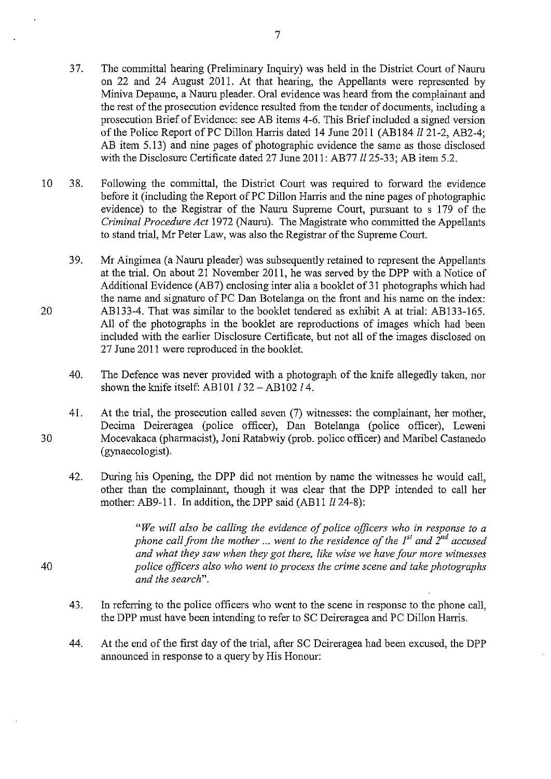37. The committal hearing (Preliminary Inquiry) was held in the District Court of Nauru on 22 and 24 August 2011. At that hearing, the Appellants were represented by Miniva Depaune, a Nauru pleader. Oral evidence was heard from the complainant and the rest of the prosecution evidence resulted from the tender of documents, including a prosecution Brief of Evidence: see AB items 4-6. This Brief included a signed version of the Police Report of PC Dillon Harris dated 14 June 2011 (AB184  $ll$  21-2, AB2-4; AB item 5.13) and nine pages of photographic evidence the same as those disclosed with the Disclosure Certificate dated 27 June 2011: AB77 *ll* 25-33; AB item 5.2.

7

- 10 38. Following the committal, the District Court was required to forward the evidence before it (including the Report of PC Dillon Harris and the nine pages of photographic evidence) to the Registrar of the Nauru Supreme Court, pursuant to s 179 of the *Criminal Procedure Act* 1972 (Nauru). The Magistrate who committed the Appellants to stand trial, Mr Peter Law, was also the Registrar of the Supreme Court.
	- 39. Mr Aingimea (a Nauru pleader) was subsequently retained to represent the Appellants at the trial. On about 21 November 2011, he was served by the DPP with a Notice of Additional Evidence (AB7) enclosing inter alia a booklet of 31 photographs which had the name and signature of PC Dan Botelanga on the front and his name on the index: AB133-4. That was similar to the booklet tendered as exhibit A at trial: ABI33-165. All of the photographs in the booklet are reproductions of images which had been included with the earlier Disclosure Certificate, but not all of the images disclosed on 27 June 2011 were reproduced in the booklet.
		- 40. The Defence was never provided with a photograph of the knife allegedly taken, nor shown the knife itself: AB101  $132 - AB102l4$ .
- 30 41. At the trial, the prosecution called seven (7) witnesses: the complainant, her mother, Decima Deireragea (police officer), Dan Botelanga (police officer), Leweni Mocevakaca (pharmacist), Joni Ratabwiy (prob. police officer) and Maribel Castanedo (gynaecologist).
	- 42. During his Opening, the DPP did not mention by name the witnesses he would call, other than the complainant, though it was clear that the DPP intended to call her mother: AB9-11. In addition, the DPP said (AB11  $ll$  24-8):

*"We will also be calling the evidence of police officers who in response to a phone call from the mother ... went to the residence of the 1<sup>st</sup> and*  $2^{nd}$  *accused and what they saw when they got there, like wise we have four more witnesses police officers also who went to process the crime scene and take photographs and the search".* 

- 43. In referring to the police officers who went to the scene in response to the phone call, the DPP must have been intending to refer to SC Deireragea and PC Dillon Harris.
- 44. At the end of the first day of the trial, after SC Deireragea had been excused, the DPP announced in response to a query by His Honour:

40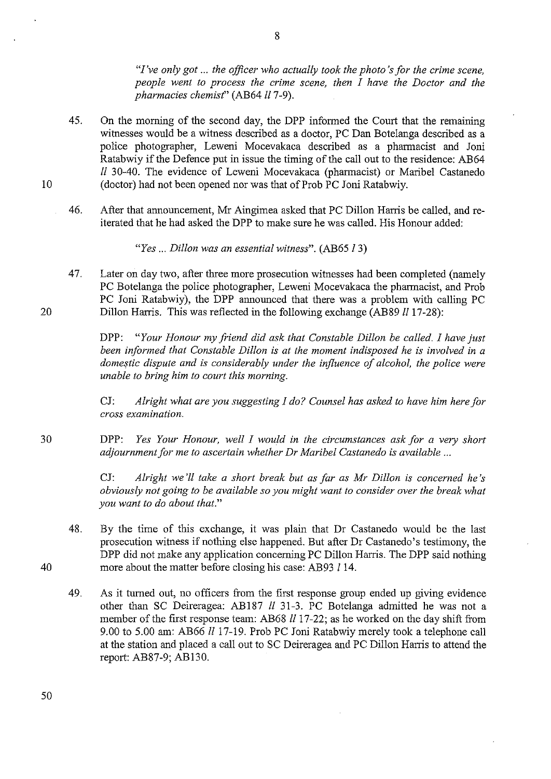*"I've only got* ... *the officer who actually took the photo's for the crime scene, people went to process the crime scene, then I have the Doctor and the pharmacies chemist*" (AB64 ll 7-9).

- 45. On the morning of the second day, the DPP informed the Court that the remaining witnesses would be a witness described as a doctor, PC Dan Botelanga described as a police photographer, Leweni Mocevakaca described as a pharmacist and Joni Ratabwiy if the Defence put in issue the timing of the call out to the residence: AB64 *ll* 30-40. The evidence of Leweni Mocevakaca (pharmacist) or Maribel Castanedo (doctor) had not been opened nor was that of Prob PC Joni Ratabwiy.
- 46. After that announcement, Mr Aingimea asked that PC Dillon Harris be called, andreiterated that he had asked the DPP to make sure he was called. His Honour added:

*"Yes ... Dillon was an essential witness".* (AB65 13)

47. Later on day two, after three more prosecution witnesses had been completed (namely PC Botelanga the police photographer, Leweni Mocevakaca the pharmacist, and Prob PC Joni Ratabwiy), the DPP announced that there was a problem with calling PC Dillon Harris. This was reflected in the following exchange (AB89 *ll* 17-28):

DPP: *"Your Honour my friend did ask that Constable Dillon be called.* I *have just been informed that Constable Dillon is at the moment indisposed he is involved in a*  domestic dispute and is considerably under the influence of alcohol, the police were *unable to bring him to court this morning.* 

CJ: *Alright what are you suggesting* I *do? Counsel has asked to have him here for cross examination.* 

DPP: *Yes Your Honour, well* I *would in the circumstances ask for a very short adjournment for me to ascertain whether Dr Maribel Castaneda is available ...* 

> CJ: *Alright we'll take a short break but as far as Mr Dillon is concerned he's obviously not going to be available so you might want to consider over the break what you want to do about that."*

- 48. By the time of this exchange, it was plain that Dr Castaneda would be the last prosecution witness if nothing else happened. But after Dr Castaneda's testimony, the DPP did not make any application concerning PC Dillon Harris. The DPP said nothing more about the matter before closing his case: AB93 114.
- 49. As it turned out, no officers from the first response group ended up giving evidence other than SC Deireragea: AB187 *ll* 31-3. PC Botelanga admitted he was not a member of the first response team: AB68 *ll* 17-22; as he worked on the day shift from 9.00 to 5.00 am: AB66 *ll* 17-19. Prob PC Joni Ratabwiy merely took a telephone call at the station and placed a call out to SC Deireragea and PC Dillon Harris to attend the report: AB87-9; AB130.

10

20

30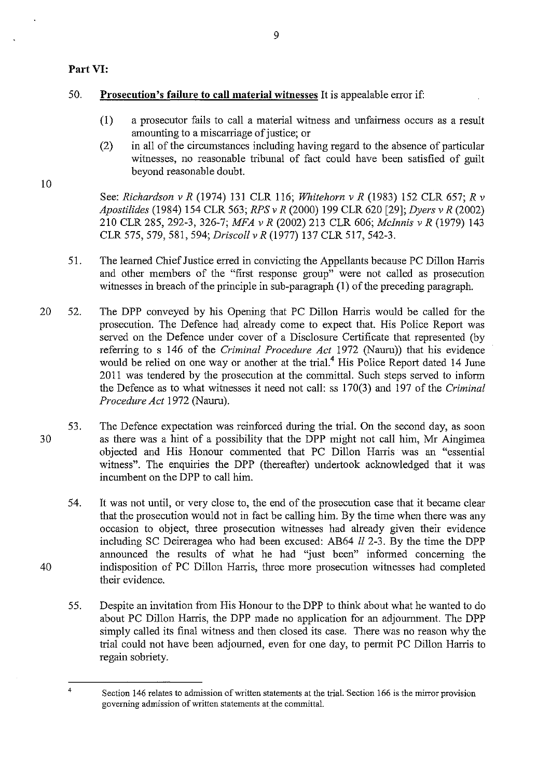# **Part VI:**

# 50. **Prosecution's failure to call material witnesses** It is appealable error if:

(1) a prosecutor fails to call a material witness and unfairness occurs as a result amounting to a miscarriage of justice; or

9

(2) in all of the circumstances including having regard to the absence of particular witnesses, no reasonable tribunal of fact could have been satisfied of guilt beyond reasonable doubt.

10

40

4

See: *Richardson v R* (1974) 131 CLR 116; *Whitehorn v R* (1983) 152 CLR 657; *R v Apostilides* (1984) 154 CLR 563; RPS *v R* (2000) 199 CLR 620 [29]; *Dyers v R* (2002) 210 CLR 285, 292-3, 326-7; *MFA v R* (2002) 213 CLR 606; *Mcinnis v R* (1979) 143 CLR 575, 579, 581, 594; *Driscoll v R* (1977) 137 CLR 517, 542-3.

- 51. The learned Chief Justice erred in convicting the Appellants because PC Dillon Harris and other members of the "first response group" were not called as prosecution witnesses in breach of the principle in sub-paragraph **(1)** of the preceding paragraph.
- 20 52. The DPP conveyed by his Opening that PC Dillon Harris would be called for the prosecution. The Defence had, already come to expect that. His Police Report was served on the Defence under cover of a Disclosure Certificate that represented (by referring to s 146 of the *Criminal Procedure Act* 1972 (Nauru)) that his evidence would be relied on one way or another at the trial.<sup>4</sup> His Police Report dated 14 June 2011 was tendered by the prosecution at the committal. Such steps served to inform the Defence as to what witnesses it need not call: ss 170(3) and 197 of the *Criminal Procedure Act* 1972 (Nauru).

53. 30 The Defence expectation was reinforced during the ttial. On the second day, as soon as there was a hint of a possibility that the DPP might not call him, Mr Aingimea objected and His Honour commented that PC Dillon Harris was an "essential witness". The enquiries the DPP (thereafter) undertook acknowledged that it was incumbent on the DPP to call him.

54. It was not until, or very close to, the end of the prosecution case that it became clear that the prosecution would not in fact be calling him. By the time when there was any occasion to object, three prosecution witnesses had already given their evidence including SC Deireragea who had been excused: AB64 *ll* 2-3. By the time the DPP announced the results of what he had "just been" informed concerning the indisposition of PC Dillon Harris, three more prosecution witnesses had completed their evidence.

55. Despite an invitation from His Honour to the DPP to think about what he wanted to do about PC Dillon Harris, the DPP made no application for an adjournment. The DPP simply called its final witness and then closed its case. There was no reason why the trial could not have been adjourned, even for one day, to permit PC Dillon Harris to regain sobriety.

Section 146 relates to admission of written statements at the trial. 'Section 166 is the mirror provision **governing admission of written statements at\_ the committal.**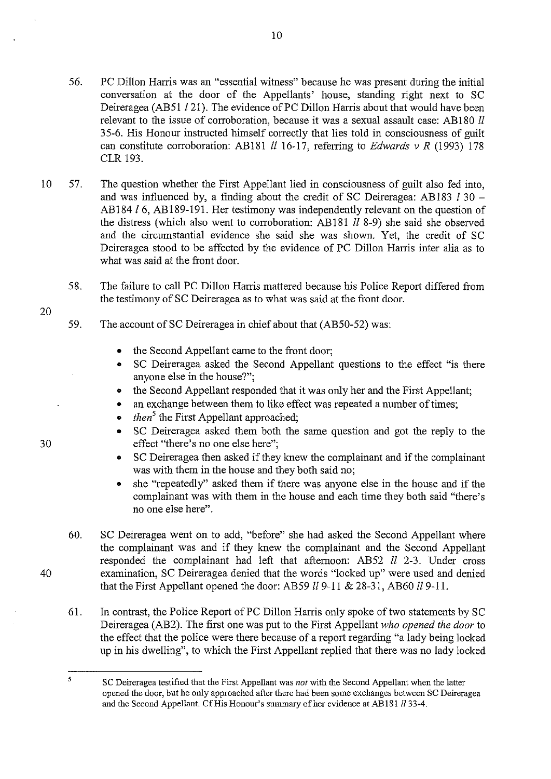- 56. PC Dillon Harris was an "essential witness" because he was present during the initial conversation at the door of the Appellants' house, standing right next to SC Deireragea (AB51 / 21). The evidence of PC Dillon Harris about that would have been relevant to the issue of corroboration, because it was a sexual assault case: AB180 *ll* 35-6. His Honour instructed himself correctly that lies told in consciousness of guilt can constitute corroboration: AB181 *ll* 16-17, referring to *Edwards v R* (1993) 178 CLR 193.
- 10 57. The question whether the First Appellant lied in consciousness of guilt also fed into, and was influenced by, a finding about the credit of SC Deireragea: AB183  $l$  30 -AB184 /6, AB189-191. Her testimony was independently relevant on the question of the distress (which also went to corroboration: AB 181 *ll* 8-9) she said she observed and the circumstantial evidence she said she was shown. Yet, the credit of SC Deireragea stood to be affected by the evidence of PC Dillon Harris inter alia as to what was said at the front door.
	- 58. The failure to call PC Dillon Harris mattered because his Police Report differed from the testimony of SC Deireragea as to what was said at the front door.
	- 59. The account of SC Deireragea in chief about that (AB50-52) was:
		- the Second Appellant came to the front door;
		- SC Deireragea asked the Second Appellant questions to the effect "is there anyone else in the house?";
		- the Second Appellant responded that it was only her and the First Appellant;
		- an exchange between them to like effect was repeated a number of times;
		- *then*<sup>5</sup> the First Appellant approached:
		- SC Deireragea asked them both the same question and got the reply to the effect "there's no one else here";
		- SC Deireragea then asked if they knew the complainant and if the complainant was with them in the house and they both said no;
		- she "repeatedly" asked them if there was anyone else in the house and if the complainant was with them in the house and each time they both said "there's no one else here".
	- 60. SC Deireragea went on to add, "before" she had asked the Second Appellant where the complainant was and if they knew the complainant and the Second Appellant responded the complainant had left that afternoon: AB52 *ll* 2-3. Under cross examination, SC Deireragea denied that the words "locked up" were used and denied that the First Appellant opened the door: AB59 *ll* 9-ll & 28-31, AB60 l/9-11.
	- 61. In contrast, the Police Report of PC Dillon Harris only spoke of two statements by SC Deireragea (AB2). The first one was put to the First Appellant *who opened the door* to the effect that the police were there because of a report regarding "a lady being locked up in his dwelling", to which the First Appellant replied that there was no lady locked

30

20

40

 $\overline{\mathbf{5}}$ 

SC Deireragea testified that the First Appellant was *not* with the Second Appellant when the latter opened the door, but he only approached after there had been some exchanges between SC Deireragea and the Second Appellant. Cf His Honour's summary of her evidence at AB181 II 33-4.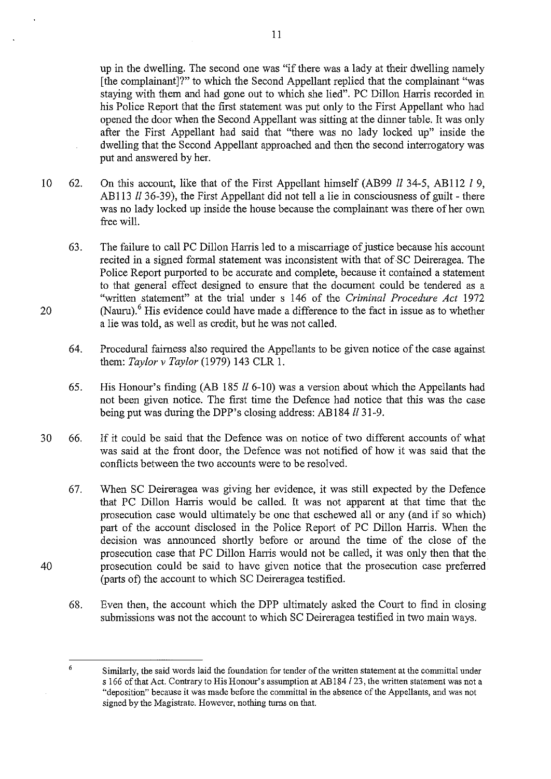up in the dwelling. The second one was "if there was a lady at their dwelling namely [the complainant]?" to which the Second Appellant replied that the complainant "was staying with them and had gone out to which she lied". PC Dillon Harris recorded in his Police Report that the first statement was put only to the First Appellant who had opened the door when the Second Appellant was sitting at the dinner table. It was only after the First Appellant had said that "there was no lady locked up" inside the dwelling that the Second Appellant approached and then the second interrogatory was put and answered by her.

- 10 62. On this account, like that of the First Appellant himself (AB99 *ll* 34-5, AB112 *l* 9, AB113 *ll* 36-39), the First Appellant did not tell a lie in consciousness of guilt - there was no lady locked up inside the house because the complainant was there of her own free will.
	- 63. The failure to call PC Dillon Harris led to a miscarriage of justice because his account recited in a signed formal statement was inconsistent with that of·SC Deireragea. The Police Report purported to be accurate and complete, because it contained a statement to that general effect designed to ensure that the document could be tendered as a "written statement" at the trial under s 146 of the *Criminal Procedure Act* 1972 (Nauru).<sup>6</sup> His evidence could have made a difference to the fact in issue as to whether a lie was told, as well as credit, but he was not called.
	- 64. Procedural faimess also required the Appellants to be given notice of the case against them: *Taylor v Taylor* (1979) 143 CLR 1.
	- 65. His Honour's finding (AB 185  $ll$  6-10) was a version about which the Appellants had not been given notice. The first time the Defence had notice that this was the case being put was during the DPP's closing address: AB184 *ll* 31-9.
- 30 66. If it could be said that the Defence was on notice of two different accounts of what was said at the front door, the Defence was not notified of how it was said that the conflicts between the two accounts were to be resolved.
	- 67. When SC Deireragea was giving her evidence, it was still expected by the Defence that PC Dillon Harris would be called. It was not apparent at that time that the prosecution case would ultimately be one that eschewed all or any (and if so which) part of the account disclosed in the Police Report of PC Dillon Harris. When the decision was announced shortly before or around the time of the close of the prosecution case that PC Dillon Harris would not be called, it was only then that the prosecution could be said to have given notice that the prosecution case preferred (parts of) the account to which SC Deireragea testified.
	- 68. Even then, the account which the DPP ultimately asked the Court to find in closing submissions was not the account to which SC Deireragea testified in two main ways.

20

<sup>6</sup>  Similarly, the said words laid the foundation for tender of the written statement at the committal under s 166 of that Act. Contrary to His Honour's assumption at AB 184 *l* 23, the written statement was not a "deposition" because it was made before the committal in the absence of the Appellants, and was not signed by the Magistrate. However, nothing turns on that.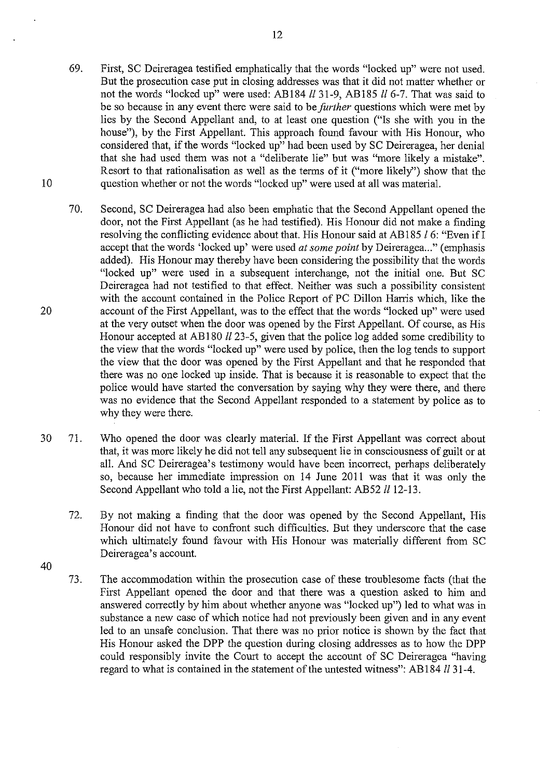- 69. First, SC Deireragea testified emphatically that the words "locked up" were not used. But the prosecution case put in closing addresses was that it did not matter whether or not the words "locked up" were used: AB184 *ll* 31-9, AB185 *ll* 6-7. That was said to be so because in any event there were said to be *further* questions which were met by lies by the Second Appellant and, to at least one question ("Is she with you in the house"), by the First Appellant. This approach found favour with His Honour, who considered that, if the words "locked up" had been used by SC Deireragea, her denial that she had used them was not a "deliberate lie" but was "more likely a mistake". Resort to that rationalisation as well as the terms of it ("more likely'') show that the question whether or not the words "locked up" were used at all was material.
- 70. Second, SC Deireragea had also been emphatic that the Second Appellant opened the door, not the First Appellant (as he had testified). His Honour did not make a finding resolving the conflicting evidence about that. His Honour said at AB185  $l$  6: "Even if I accept that the words 'locked up' were used *at some point* by Deireragea..." (emphasis added). His Honour may thereby have been considering the possibility that the words "locked up" were used in a subsequent interchange, not the initial one. But SC Deireragea had not testified to that effect. Neither was such a possibility consistent with the account contained in the Police Report of PC Dillon Harris which, like the account of the First Appellant, was to the effect that the words "locked up" were used at the very outset when the door was opened by the First Appellant. Of course, as His Honour accepted at AB180  $ll$  23-5, given that the police log added some credibility to the view that the words "locked up" were used by police, then the log tends to support the view that the door was opened by the First Appellant and that he responded that there was no one locked up inside. That is because it is reasonable to expect that the police would have started the conversation by saying why they were there, and there was no evidence that the Second Appellant responded to a statement by police as to why they were there.
- 30 71. Who opened the door was clearly material. If the First Appellant was correct about that, it was more likely he did not tell any subsequent lie in consciousness of guilt or at all. And SC Deireragea's testimony would have been incorrect, perhaps deliberately so, because her immediate impression on 14 June 2011 was that it was only the Second Appellant who told a lie, not the First Appellant: AB52 *ll* 12-13.
	- 72. By not making a finding that the door was opened by the Second Appellant, His Honour did not have to confront such difficulties. But they underscore that the case which ultimately found favour with His Honour was materially different from SC Deireragea's account.
- 40

10

20

73. The accommodation within the prosecution case of these troublesome facts (that the First Appellant opened the door and that there was a question asked to him and answered correctly by him about whether anyone was "locked up") led to what was in substance a new case of which notice had not previously been given and in any event led to an unsafe conclusion. That there was no prior notice is shown by the fact that His Honour asked the DPP the question during closing addresses as to how the DPP could responsibly invite the Court to accept the account of SC Deireragea "having regard to what is contained in the statement of the untested witness": AB184 II 31-4.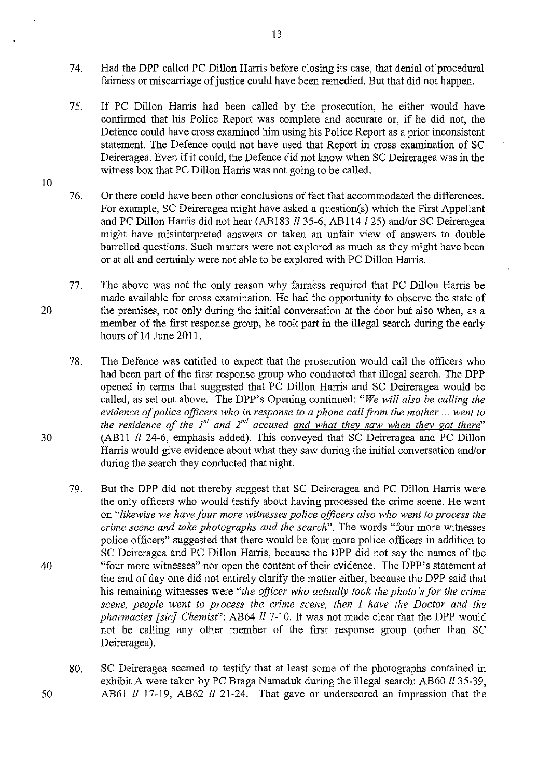- 74. Had the DPP called PC Dillon Harris before closing its case, that denial of procedural fairness or miscarriage of justice could have been remedied. But that did not happen.
- 75. If PC Dillon Harris had been called by the prosecution, he either would have confirmed that his Police Report was complete and accurate or, if he did not, the Defence could have cross examined him using his Police Report as a prior inconsistent statement. The Defence could not have used that Report in cross examination of SC Deireragea. Even if it could, the Defence did not know when SC Deireragea was in the witness box that PC Dillon Harris was not going to be called.
- 76. Or there could have been other conclusions of fact that accommodated the differences. For example, SC Deireragea might have asked a question(s) which the First Appellant and PC Dillon Han'is did not hear (AB 183 *ll* 35-6, AB 114 *l25)* and/or SC Deireragea might have misinterpreted answers or taken an unfair view of answers to double barrelled questions. Such matters were not explored as much as they might have been or at all and certainly were not able to be explored with PC Dillon Harris.
- 77. The above was not the only reason why fairness required that PC Dillon Harris be made available for cross examination. He had the opportunity to observe the state of 20 the premises, not only during the initial conversation at the door but also when, as a member of the first response group, he took part in the illegal search during the early hours of 14 June 2011.

78. The Defence was entitled to expect that the prosecution would call the officers who had been part of the first response group who conducted that illegal search. The DPP opened in terms that suggested that PC Dillon Harris and SC Deireragea would be called, as set out above. The DPP's Opening continued: *"We will also be calling the evidence of police officers who in response to a phone call from the mother* ... *went to the residence of the 1<sup>st</sup> and 2<sup>nd</sup> accused <u>and what they saw when they got there</u>"* 30 (ABll *ll* 24-6, emphasis added). This conveyed that SC Deireragea and PC Dillon Harris would give evidence about what they saw during the initial conversation and/or during the search they conducted that night.

- 79. But the DPP did not thereby suggest that SC Deireragea and PC Dillon Harris were the only officers who would testify about having processed the crime scene. He went on *"likewise we have four more witnesses police officers also who went to process the crime scene and take photographs and the search".* The words "four more witnesses police officers" suggested that there would be four more police officers in addition to SC Deireragea and PC Dillon Harris, because the DPP did not say the names of the 40 "four more witnesses" nor open the content of their evidence. The DPP's statement at the end of day one did not entirely clarify the matter either, because the DPP said that his remaining witnesses were *"the officer who actually took the photo's for the crime scene, people went to process the crime scene, then I have the Doctor and the pharmacies [sic] Chemist"*: AB64 *ll* 7-10. It was not made clear that the DPP would not be calling any other member of the first response group (other than SC Deireragea).
- 80. SC Deireragea seemed to testify that at least some of the photographs contained in exhibit A were taken by PC Braga Namaduk during the illegal search: AB60 *ll* 35-39, 50 AB61 *ll* 17-19, AB62 *ll* 21-24. That gave or underscored an impression that the

13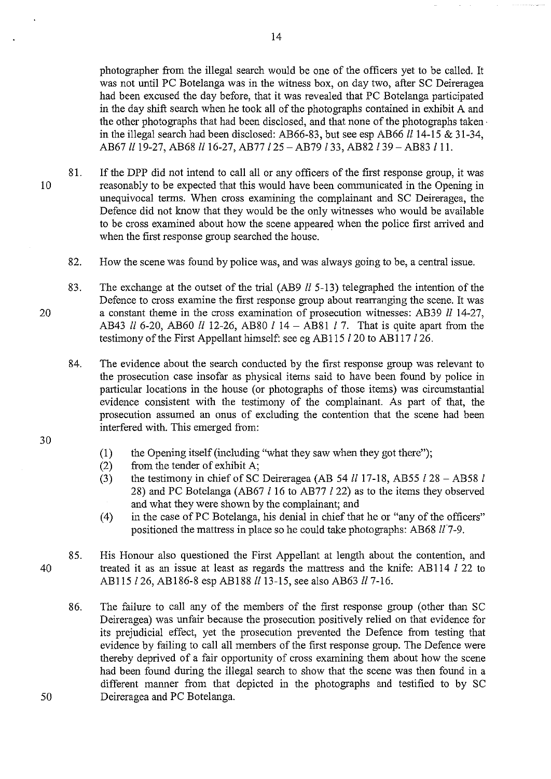photographer from the illegal search would be one of the officers yet to be called. It was not until PC Botelanga was in the witness box, on day two, after SC Deireragea had been excused the day before, that it was revealed that PC Botelanga participated in the day shift search when he took all of the photographs contained in exhibit  $\overline{A}$  and the other photographs that had been disclosed, and that none of the photographs taken· in the illegal search had been disclosed: AB66-83, but see esp AB66  $ll$  14-15 & 31-34, AB67 ll 19-27, AB68 ll 16-27, AB77 l 25 - AB79 l 33, AB82 l 39 - AB83 l 11.

- 81. If the DPP did not intend to call all or any officers of the first response group, it was 10 reasonably to be expected that this would have been communicated in the Opening in unequivocal terms. When cross examining the complainant and SC Deireragea, the Defence did not know that they would be the only witnesses who would be available to be cross examined about how the scene appeared when the police first arrived and when the first response group searched the house.
	- 82. How the scene was found by police was, and was always going to be, a central issue.
- 83. The exchange at the outset of the trial (AB9  $ll$  5-13) telegraphed the intention of the Defence to cross examine the first response group about rearranging the scene. It was 20 a constant theme in the cross examination of prosecution witnesses: AB39 *ll* 14-27, AB43 *ll* 6-20, AB60 *ll* 12-26, AB80 *l* 14 - AB81 *l* 7. That is quite apart from the testimony of the First Appellant himself: see eg AB115 *l* 20 to AB117 *l* 26.
	- 84. The evidence about the search conducted by the first response group was relevant to the prosecution case insofar as physical items said to have been found by police in particular locations in the house (or photographs of those items) was circumstantial evidence consistent with the testimony of the complainant. As part of that, the prosecution assumed an onus of excluding the contention that the scene had been interfered with. This emerged from:
- 30
- (1) the Opening itself (including "what they saw when they got there");
- (2) from the tender of exhibit A;
- (3) the testimony in chief of SC Deireragea (AB 54  $ll$  17-18, AB55  $l$  28 AB58  $l$ 28) and PC Botelanga (AB67 l 16 to AB77 l 22) as to the items they observed and what they were shown by the complainant; and
- (4) in the case of PC Botelanga, his denial in chief that he or "any of the officers" positioned the mattress in place so he could take photographs: AB68 117-9.
- 85. His Honour also questioned the First Appellant at length about the contention, and 40 treated it as an issue at least as regards the mattress and the knife: AB114 l 22 to AB115 l 26, AB186-8 esp AB188 ll 13-15, see also AB63 ll 7-16.
- 86. The failure to call any of the members of the first response group (other than SC Deireragea) was unfair because the prosecution positively relied on that evidence for its prejudicial effect, yet the prosecution prevented the Defence from testing that evidence by failing to call all members of the first response group. The Defence were thereby deprived of a fair opportunity of cross examining them about how the scene had been found during the illegal search to show that the scene was then found in a different manner from that depicted in the photographs and testified to by SC 50 Deireragea and PC Botelanga.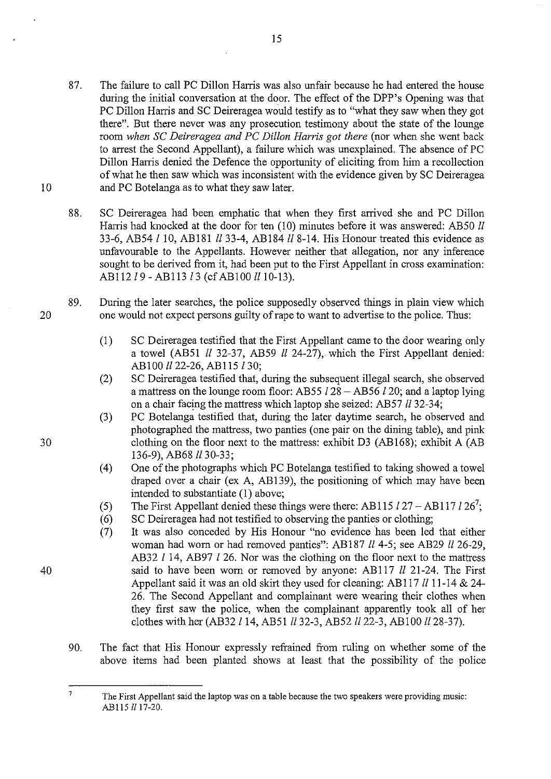- 87. The failure to call PC Dillon Harris was also unfair because he had entered the house during the initial conversation at the door. The effect of the DPP's Opening was that PC Dillon Harris and SC Deireragea would testify as to "what they saw when they got there". But there never was any prosecution testimony about the state of the lounge room *when SC Deireragea and PC Dillon Harris got there* (nor when she went back to arrest the Second Appellant), a failure which was unexplained. The absence of PC Dillon Harris denied the Defence the opportunity of eliciting from him a recollection of what he then saw which was inconsistent with the evidence given by SC Deireragea 10 and PC Botelanga as to what they saw later.
	- 88. SC Deireragea had been emphatic that when they first arrived she and PC Dillon Harris had knocked at the door for ten (10) minutes before it was answered: AB50 *ll* 33-6, AB54 /10, AB181 *ll33-4,* AB184 ll8-14. His Honour treated this evidence as unfavourable to the Appellants. However neither that allegation, nor any inference sought to be derived from it, had been put to the First Appellant in cross examination: *AB112 l9 - AB113 l3 (cf AB100 ll 10-13).*
- 89. During the later searches, the police supposedly observed things in plain view which 20 one would not expect persons guilty of rape to want to advertise to the police. Thus:
	- (1) SC Deireragea testified that the First Appellant came to the door wearing only a towel (AB51 *ll* 32-37, AB59 *ll* 24-27), which the First Appellant denied: ABlOO *ll22-26,* AB115/30;
	- (2) SC Deireragea testified that, during the subsequent illegal search, she observed a mattress on the lounge room floor: AB55 /28 - AB56 *120;* and a laptop lying on a chair facing the mattress which laptop she seized: AB57 *ll* 32-34;
- (3) PC Botelanga testified that, during the later daytime search, he observed and photographed the mattress, two panties (one pair on the dining table), and pink 30 clothing on the floor next to the mattress: exhibit D3 (AB168); exhibit A (AB 136-9), AB68 *ll30-33;* 
	- (4) One of the photographs which PC Botelanga testified to taking showed a towel draped over a chair (ex A, AB139), the positioning of which may have been intended to substantiate (1) above;
	- (5) The First Appellant denied these things were there: AB115  $l27 AB117 l26^7$ ;
	- (6) SC Deireragea had not testified to observing the panties or clothing;
- (7) It was also conceded by His Honour "no evidence has been led that either woman had worn or had removed panties": AB187 *ll* 4-5; see AB29 *ll* 26-29, AB32 l 14, AB97 l 26. Nor was the clothing on the floor next to the mattress 40 said to have been worn or removed by anyone: AB117 *ll* 21-24. The First Appellant said it was an old skirt they used for cleaning: AB117 *ll* 11-14 & 24-26. The Second Appellant and complainant were wearing their clothes when they first saw the police, when the complainant apparently took all of her clothes with her (AB32/14, *AB51ll32-3, AB52ll22-3,* ABlOO ll28-37).
	- 90. The fact that His Honour expressly refrained from ruling on whether some of the above items had been planted shows at least that the possibility of the police

 $\overline{7}$ The First Appellant said the laptop was on a table because the two speakers were providing music: AB115 *II* 17-20.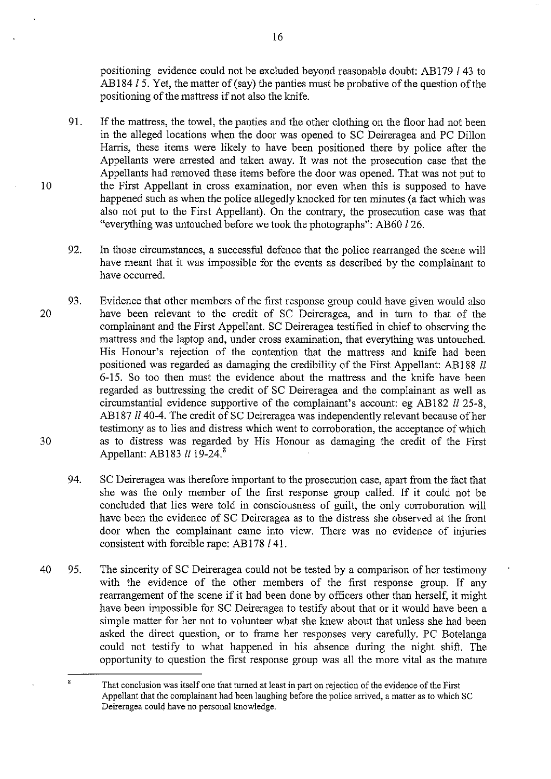positioning evidence could not be excluded beyond reasonable doubt: AB179 *l* 43 to AB184 15. Yet, the matter of (say) the panties must be probative of the question of the positioning of the mattress if not also the knife.

- 91. If the mattress, the towel, the panties and the other clothing on the floor had not been in the alleged locations when the door was opened to SC Deireragea and PC Dillon Harris, these items were likely to have been positioned there by police after the Appellants were arrested and taken away. It was not the prosecution case that the Appellants had removed these items before the door was opened. That was not put to the First Appellant in cross examination, nor even when this is supposed to have happened such as when the police allegedly knocked for ten minutes (a fact which was also not put to the First Appellant). On the contrary, the prosecution case was that "everything was untouched before we took the photographs": AB60 126.
- 92. In those circumstances, a successful defence that the police rearranged the scene will have meant that it was impossible for the events as described by the complainant to have occurred.
- 20 30 93. Evidence that other members of the first response group could have given would also have been relevant to the credit of SC Deireragea, and in turn to that of the complainant and the First Appellant. SC Deireragea testified in chief to observing the mattress and the laptop and, under cross examination, that everything was untouched. His Honour's rejection of the contention that the mattress and knife had been positioned was regarded as damaging the credibility of the First Appellant: AB188 II 6-15. So too then must the evidence about the mattress and the knife have been regarded as buttressing the credit of SC Deireragea and the complainant as well as circumstantial evidence supportive of the complainant's account: eg AB182  $ll$  25-8, AB187 II 40-4. The credit of SC Deireragea was independently relevant because of her testimony as to lies and distress which went to corroboration, the acceptance of which as to distress was regarded by His Honour as damaging the credit of the First Appellant: AB183  $ll$  19-24.<sup>8</sup>
	- 94. SC Deireragea was therefore important to the prosecution case, apart from the fact that she was the only member of the first response group called. If it could not be concluded that lies were told in consciousness of guilt, the only corroboration will have been the evidence of SC Deireragea as to the distress she observed at the front door when the complainant came into view. There was no evidence of injuries consistent with forcible rape: AB 178 I 41.
- 40 95. The sincerity of SC Deireragea could not be tested by a comparison of her testimony with the evidence of the other members of the first response group. If any rearrangement of the scene if it had been done by officers other than herself, it might have been impossible for SC Deireragea to testify about that or it would have been a simple matter for her not to volunteer what she knew about that unless she had been asked the direct question, or to frame her responses very carefully. PC Botelanga could not testify to what happened in his absence during the night shift. The opportunity to question the first response group was all the more vital as the mature

16

 $\overline{\mathbf{x}}$ That conclusion was itself one that turned at least in part on rejection of the evidence of the First Appellant that the complainant had been laughing before the police arrived, a matter as to which SC Deireragea could have no personal knowledge.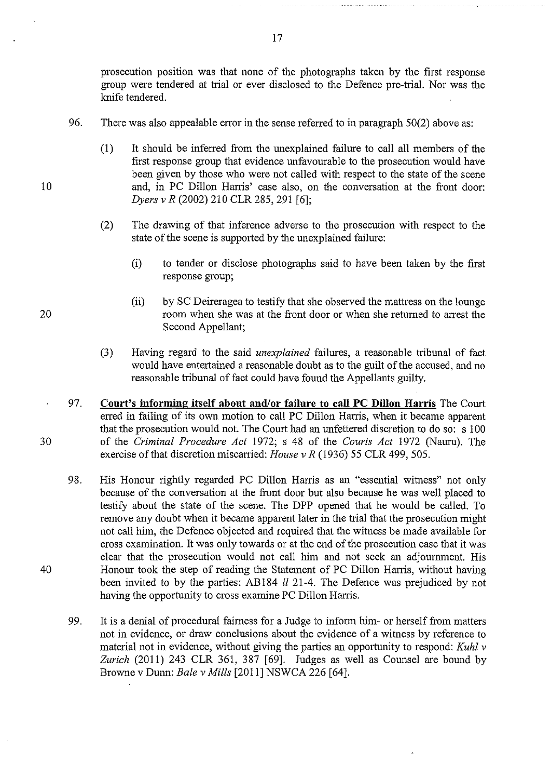prosecution position was that none of the photographs taken by the first response group were tendered at trial or ever disclosed to the Defence pre-trial. Nor was the knife tendered.

- 96. There was also appealable error in the sense referred to in paragraph 50(2) above as:
	- (1) It should be inferred from the unexplained failure to call all members of the first response group that evidence unfavourable to the prosecution would have been given by those who were not called with respect to the state of the scene and, in PC Dillon Hartis' case also, on the conversation at the front door: *Dyers v R* (2002) 210 CLR 285,291 [6];
	- (2) The drawing of that inference adverse to the prosecution with respect to the state of the scene is supported by the unexplained failure:
		- (i) to tender or disclose photographs said to have been taken by the first response group;
		- (ii) by SC Deireragea to testify that she observed the mattress on the lounge room when she was at the front door or when she returned to arrest the Second Appellant;
	- (3) Having regard to the said *unexplained* failures, a reasonable tribunal of fact would have entertained a reasonable doubt as to the guilt of the accused, and no reasonable tribunal of fact could have found the Appellants guilty.
- 97. **Court's informing itself about and/or failure to call PC Dillon Harris** The Court erred in failing of its own motion to call PC Dillon Harris, when it became apparent that the prosecution would not. The Court had an unfettered discretion to do so: s 100 of the *Criminal Procedure Act* 1972; s 48 of the *Courts Act* 1972 (Nauru). The exercise of that discretion miscarried: *House v R* (1936) 55 CLR 499, 505.
	- 98. His Honour rightly regarded PC Dillon Harris as an "essential witness" not only because of the conversation at the front door but also because he was well placed to testify about the state of the scene. The DPP opened that he would be called. To remove any doubt when it became apparent later in the trial that the prosecution might not call him, the Defence objected and required that the witness be made available for cross examination. It was only towards or at the end of the prosecution case that it was clear that the prosecution would not call him and not seek an adjournment. His Honour took the step of reading the Statement of PC Dillon Harris, without having been invited to by the parties: AB184 II 21-4. The Defence was prejudiced by not having the opportunity to cross examine PC Dillon Harris.
	- 99. It is a denial of procedural fairness for a Judge to inform him- or herself from matters not in evidence, or draw conclusions about the evidence of a witness by reference to material not in evidence, without giving the parties an opportunity to respond: *Kuhl v Zurich* (2011) 243 CLR 361, 387 [69]. Judges as well as Counsel are bound by Browne v Dunn: *Bale v Mills* [2011] NSWCA 226 [64].

17

20

10

30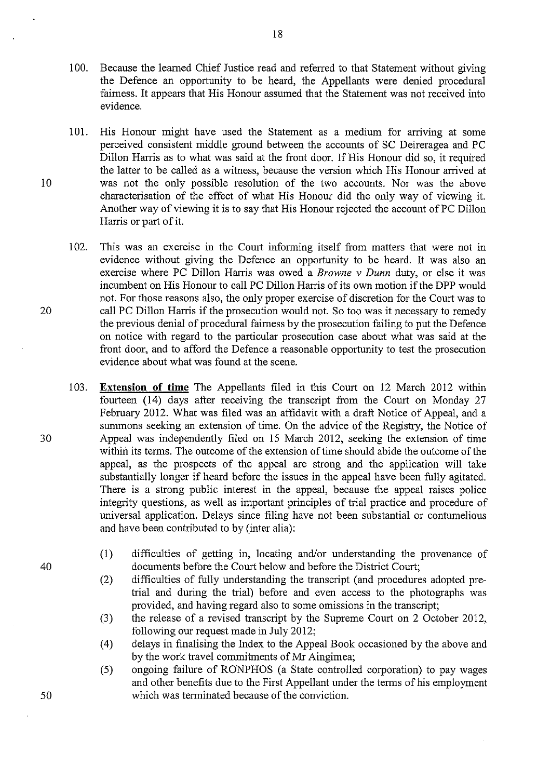- I 00. Because the learned Chief Justice read and referred to that Statement without giving the Defence an opportunity to be heard, the Appellants were denied procedural fairness. It appears that His Honour assumed that the Statement was not received into evidence.
- 101. His Honour might have used the Statement as a medium for arriving at some perceived consistent middle ground between the accounts of SC Deireragea and PC Dillon Hanis as to what was said at the front door. If His Honour did so, it required the latter to be called as a witness, because the version which His Honour arrived at I 0 was not the only possible resolution of the two accounts. Nor was the above characterisation of the effect of what His Honour did the only way of viewing it. Another way of viewing it is to say that His Honour rejected the account of PC Dillon Harris or part of it.
- 102. This was an exercise in the Court informing itself from matters that were not in evidence without giving the Defence an opportunity to be heard. It was also an exercise where PC Dillon Harris was owed a *Browne v Dunn* duty, or else it was incumbent on His Honour to call PC Dillon Harris of its own motion if the DPP would not. For those reasons also, the only proper exercise of discretion for the Court was to 20 call PC Dillon Harris if the prosecution would not. So too was it necessary to remedy the previous denial of procedural fairness by the prosecution failing to put the Defence on notice with regard to the particular prosecution case about what was said at the front door, and to afford the Defence a reasonable opportunity to test the prosecution evidence about what was found at the scene.
- I 03. **Extension of time** The Appellants filed in this Comt on 12 March 2012 within fourteen  $(14)$  days after receiving the transcript from the Court on Monday 27 February 2012. What was filed was an affidavit with a draft Notice of Appeal, and a summons seeking an extension of time. On the advice of the Registry, the Notice of 30 Appeal was independently filed on 15 March 2012, seeking the extension of time within its terms. The outcome of the extension of time should abide the outcome of the appeal, as the prospects of the appeal are strong and the application will take substantially longer if heard before the issues in the appeal have been fully agitated. There is a strong public interest in the appeal, because the appeal raises police integrity questions, as well as important principles of trial practice and procedure of universal application. Delays since filing have not been substantial or contumelious and have been contributed to by (inter alia):
	- (1) difficulties of getting in, locating and/or understanding the provenance of documents before the Court below and before the District Court;
	- (2) difficulties of fully understanding the transcript (and procedures adopted pretrial and during the trial) before and even access to the photographs was provided, and having regard also to some omissions in the transcript;
	- (3) the release of a revised transcript by the Supreme Court on 2 October 2012, following our request made in July 2012;
	- (4) delays in finalising the Index to the Appeal Book occasioned by the above and by the work travel commitments of Mr Aingimea;
	- (5) ongoing failure of RONPHOS (a State controlled corporation) to pay wages and other benefits due to the First Appellant under the terms of his employment which was terminated because of the conviction.

40